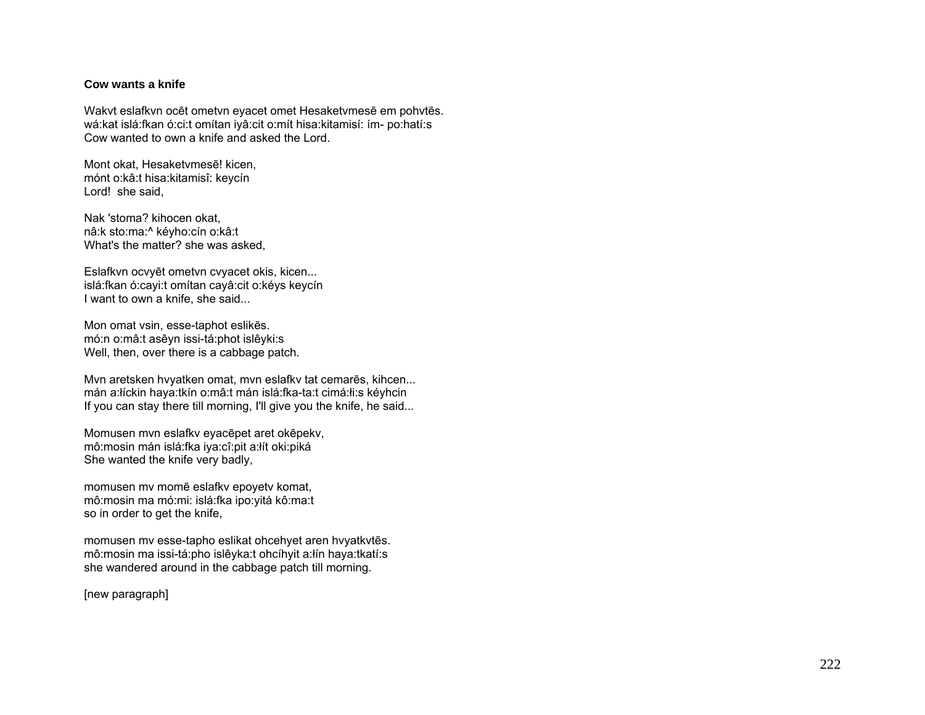## **Cow wants a knife**

Wakvt eslafkvn ocēt ometvn eyacet omet Hesaketvmesē em pohvtēs. wá:kat islá:fkan ó:ci:t omítan iyâ:cit o:mít hisa:kitamisí: ím- po:hatí:s Cow wanted to own a knife and asked the Lord.

Mont okat, Hesaketvmesē! kicen, mónt o:kâ:t hisa:kitamisî: keycín Lord! she said,

Nak 'stoma? kihocen okat, nâ:k sto:ma:^ kéyho:cín o:kâ:t What's the matter? she was asked,

Eslafkvn ocvyēt ometvn cvyacet okis, kicen... islá:fkan ó:cayi:t omítan cayâ:cit o:kéys keycín I want to own a knife, she said...

Mon omat vsin, esse-taphot eslikēs. mó:n o:mâ:t asêyn issi-tá:phot islêyki:s Well, then, over there is a cabbage patch.

Mvn aretsken hvyatken omat, mvn eslafkv tat cemarēs, kihcen... mán a:łíckin haya:tkín o:mâ:t mán islá:fka-ta:t cimá:łi:s kéyhcin If you can stay there till morning, I'll give you the knife, he said...

Momusen mvn eslafkv eyacēpet aret okēpekv, mô:mosin mán islá:fka iya:cî:pit a:łít oki:piká She wanted the knife very badly,

momusen mv momē eslafkv epoyetv komat, mô:mosin ma mó:mi: islá:fka ipo:yitá kô:ma:t so in order to get the knife,

momusen mv esse-tapho eslikat ohcehyet aren hvyatkvtēs. mô:mosin ma issi-tá:pho islêyka:t ohcíhyit a:łín haya:tkatí:s she wandered around in the cabbage patch till morning.

[new paragraph]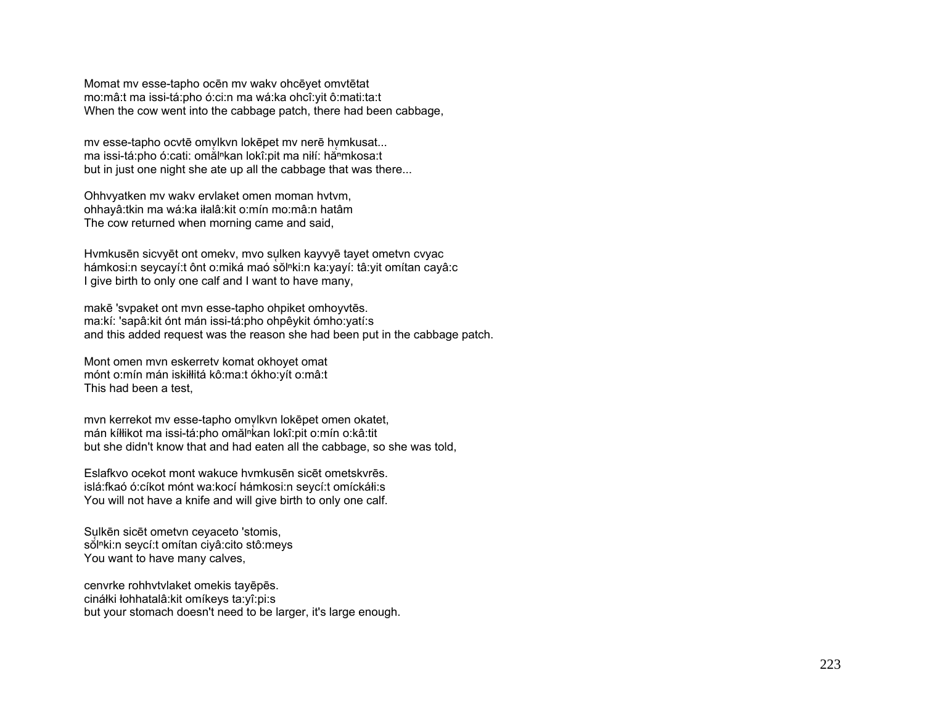Momat mv esse-tapho ocēn mv wakv ohcēyet omvtētat mo:mâ:t ma issi-tá:pho ó:ci:n ma wá:ka ohcî:yit ô:mati:ta:t When the cow went into the cabbage patch, there had been cabbage,

my esse-tapho ocytē omylkyn lokēpet my nerē hymkusat... ma issi-tá:pho ó:cati: omàl<sup>n</sup>kan lokî:pit ma niłí: hă<sup>n</sup>mkosa:t but in just one night she ate up all the cabbage that was there...

Ohhvyatken mv wakv ervlaket omen moman hvtvm, ohhayâ:tkin ma wá:ka iłalâ:kit o:mín mo:mâ:n hatâm The cow returned when morning came and said,

Hymkusēn sicvyēt ont omeky, mvo sulken kayvyē tayet ometvn cvyac hámkosi:n seycayí:t ônt o:miká maó sŏl<sup>n</sup>ki:n ka:yayí: tâ:yit omítan cayâ:c I give birth to only one calf and I want to have many,

makē 'svpaket ont mvn esse-tapho ohpiket omhoyvtēs. ma:kí: 'sapâ:kit ónt mán issi-tá:pho ohpêykit ómho:yatí:s and this added request was the reason she had been put in the cabbage patch.

Mont omen mvn eskerretv komat okhoyet omat mónt o:mín mán iskiłłitá kô:ma:t ókho:yít o:mâ:t This had been a test,

mvn kerrekot mv esse-tapho omvlkvn lokēpet omen okatet, mán kíłłikot ma issi-tá:pho omălnkan lokî:pit o:mín o:kâ:tit but she didn't know that and had eaten all the cabbage, so she was told,

Eslafkvo ocekot mont wakuce hvmkusēn sicēt ometskvrēs. islá:fkaó ó:cíkot mónt wa:kocí hámkosi:n seycí:t omíckáłi:s You will not have a knife and will give birth to only one calf.

Su lkēn sicēt ometvn ceyaceto 'stomis, sol<sup>n</sup>ki:n seycí:t omítan ciyâ:cito stô:meys You want to have many calves,

cenvrke rohhvtvlaket omekis tayēpēs. cináłki łohhatalâ:kit omíkeys ta:yî:pi:s but your stomach doesn't need to be larger, it's large enough.